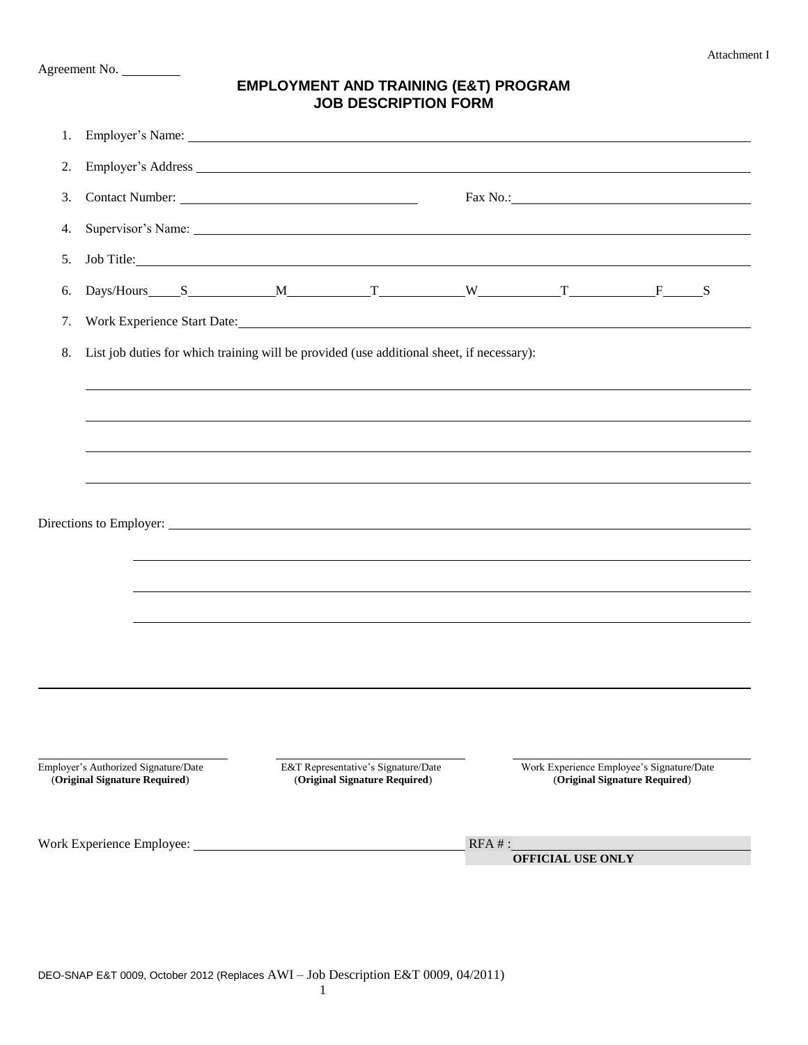Agreement No.

## **EMPLOYMENT AND TRAINING (E&T) PROGRAM JOB DESCRIPTION FORM**

| 1.                                                                                                                                            |                                                                                           |  | Employer's Name: The Contract of the Contract of the Contract of the Contract of the Contract of the Contract of the Contract of the Contract of the Contract of the Contract of the Contract of the Contract of the Contract |  |                                      |                                                                                                                                                                                                                                |  |                                                                            |  |  |  |  |  |
|-----------------------------------------------------------------------------------------------------------------------------------------------|-------------------------------------------------------------------------------------------|--|-------------------------------------------------------------------------------------------------------------------------------------------------------------------------------------------------------------------------------|--|--------------------------------------|--------------------------------------------------------------------------------------------------------------------------------------------------------------------------------------------------------------------------------|--|----------------------------------------------------------------------------|--|--|--|--|--|
| 2.                                                                                                                                            |                                                                                           |  |                                                                                                                                                                                                                               |  |                                      |                                                                                                                                                                                                                                |  |                                                                            |  |  |  |  |  |
| 3.                                                                                                                                            |                                                                                           |  |                                                                                                                                                                                                                               |  |                                      | Fax No.: 1988 Contract Contract Contract Contract Contract Contract Contract Contract Contract Contract Contract Contract Contract Contract Contract Contract Contract Contract Contract Contract Contract Contract Contract C |  |                                                                            |  |  |  |  |  |
| 4.                                                                                                                                            |                                                                                           |  |                                                                                                                                                                                                                               |  |                                      |                                                                                                                                                                                                                                |  |                                                                            |  |  |  |  |  |
| 5.                                                                                                                                            |                                                                                           |  | Job Title:                                                                                                                                                                                                                    |  |                                      |                                                                                                                                                                                                                                |  |                                                                            |  |  |  |  |  |
| 6.                                                                                                                                            |                                                                                           |  |                                                                                                                                                                                                                               |  |                                      |                                                                                                                                                                                                                                |  |                                                                            |  |  |  |  |  |
| 7.                                                                                                                                            |                                                                                           |  | Work Experience Start Date:                                                                                                                                                                                                   |  |                                      |                                                                                                                                                                                                                                |  |                                                                            |  |  |  |  |  |
| 8.                                                                                                                                            | List job duties for which training will be provided (use additional sheet, if necessary): |  |                                                                                                                                                                                                                               |  |                                      |                                                                                                                                                                                                                                |  |                                                                            |  |  |  |  |  |
|                                                                                                                                               |                                                                                           |  |                                                                                                                                                                                                                               |  |                                      |                                                                                                                                                                                                                                |  |                                                                            |  |  |  |  |  |
|                                                                                                                                               |                                                                                           |  |                                                                                                                                                                                                                               |  |                                      |                                                                                                                                                                                                                                |  |                                                                            |  |  |  |  |  |
|                                                                                                                                               |                                                                                           |  |                                                                                                                                                                                                                               |  |                                      |                                                                                                                                                                                                                                |  |                                                                            |  |  |  |  |  |
|                                                                                                                                               |                                                                                           |  |                                                                                                                                                                                                                               |  |                                      |                                                                                                                                                                                                                                |  |                                                                            |  |  |  |  |  |
|                                                                                                                                               |                                                                                           |  |                                                                                                                                                                                                                               |  |                                      |                                                                                                                                                                                                                                |  |                                                                            |  |  |  |  |  |
|                                                                                                                                               |                                                                                           |  |                                                                                                                                                                                                                               |  |                                      |                                                                                                                                                                                                                                |  |                                                                            |  |  |  |  |  |
|                                                                                                                                               |                                                                                           |  |                                                                                                                                                                                                                               |  |                                      |                                                                                                                                                                                                                                |  |                                                                            |  |  |  |  |  |
|                                                                                                                                               |                                                                                           |  | ,我们也不会有什么。""我们的人,我们也不会有什么?""我们的人,我们也不会有什么?""我们的人,我们也不会有什么?""我们的人,我们也不会有什么?""我们的人                                                                                                                                              |  |                                      |                                                                                                                                                                                                                                |  |                                                                            |  |  |  |  |  |
|                                                                                                                                               |                                                                                           |  | ,我们也不会有什么。""我们的人,我们也不会有什么?""我们的人,我们也不会有什么?""我们的人,我们也不会有什么?""我们的人,我们也不会有什么?""我们的人                                                                                                                                              |  |                                      |                                                                                                                                                                                                                                |  |                                                                            |  |  |  |  |  |
|                                                                                                                                               |                                                                                           |  |                                                                                                                                                                                                                               |  |                                      |                                                                                                                                                                                                                                |  |                                                                            |  |  |  |  |  |
|                                                                                                                                               |                                                                                           |  |                                                                                                                                                                                                                               |  |                                      |                                                                                                                                                                                                                                |  |                                                                            |  |  |  |  |  |
|                                                                                                                                               |                                                                                           |  |                                                                                                                                                                                                                               |  |                                      |                                                                                                                                                                                                                                |  |                                                                            |  |  |  |  |  |
|                                                                                                                                               |                                                                                           |  |                                                                                                                                                                                                                               |  |                                      |                                                                                                                                                                                                                                |  |                                                                            |  |  |  |  |  |
| Employer's Authorized Signature/Date<br>E&T Representative's Signature/Date<br>(Original Signature Required)<br>(Original Signature Required) |                                                                                           |  |                                                                                                                                                                                                                               |  |                                      |                                                                                                                                                                                                                                |  | Work Experience Employee's Signature/Date<br>(Original Signature Required) |  |  |  |  |  |
|                                                                                                                                               |                                                                                           |  |                                                                                                                                                                                                                               |  |                                      |                                                                                                                                                                                                                                |  |                                                                            |  |  |  |  |  |
|                                                                                                                                               | Work Experience Employee:                                                                 |  |                                                                                                                                                                                                                               |  | $RFA$ #:<br><b>OFFICIAL USE ONLY</b> |                                                                                                                                                                                                                                |  |                                                                            |  |  |  |  |  |
|                                                                                                                                               |                                                                                           |  |                                                                                                                                                                                                                               |  |                                      |                                                                                                                                                                                                                                |  |                                                                            |  |  |  |  |  |

DEO-SNAP E&T 0009, October 2012 (Replaces AWI – Job Description E&T 0009, 04/2011)